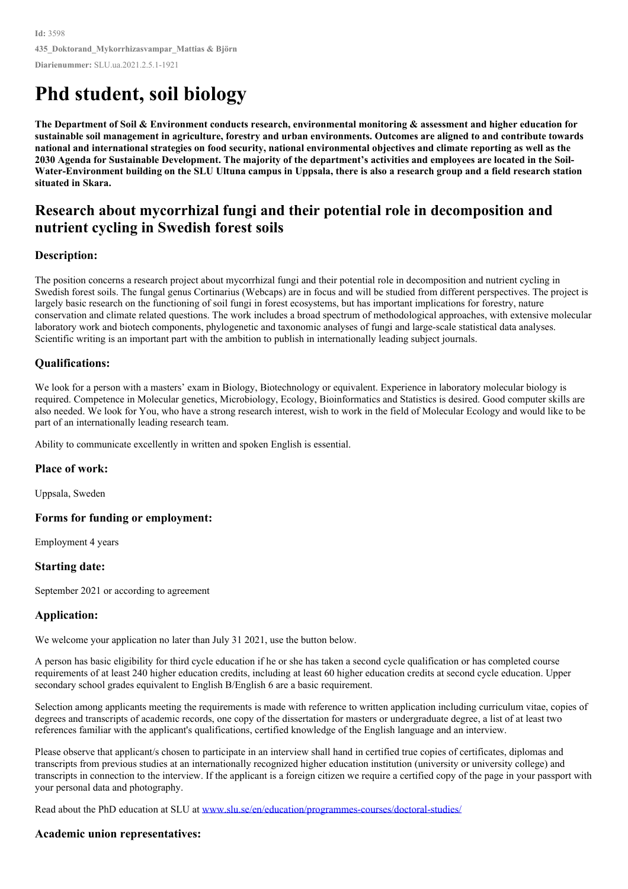# **Phd student, soil biology**

The Department of Soil & Environment conducts research, environmental monitoring & assessment and higher education for sustainable soil management in agriculture, forestry and urban environments. Outcomes are aligned to and contribute towards national and international strategies on food security, national environmental objectives and climate reporting as well as the 2030 Agenda for Sustainable Development. The majority of the department's activities and emplovees are located in the Soil-Water-Environment building on the SLU Ultuna campus in Uppsala, there is also a research group and a field research station **situated in Skara.**

# **Research about mycorrhizal fungi and their potential role in decomposition and nutrient cycling in Swedish forest soils**

# **Description:**

The position concerns a research project about mycorrhizal fungi and their potential role in decomposition and nutrient cycling in Swedish forest soils. The fungal genus Cortinarius (Webcaps) are in focus and will be studied from different perspectives. The project is largely basic research on the functioning of soil fungi in forest ecosystems, but has important implications for forestry, nature conservation and climate related questions. The work includes a broad spectrum of methodological approaches, with extensive molecular laboratory work and biotech components, phylogenetic and taxonomic analyses of fungi and large-scale statistical data analyses. Scientific writing is an important part with the ambition to publish in internationally leading subject journals.

# **Qualifications:**

We look for a person with a masters' exam in Biology, Biotechnology or equivalent. Experience in laboratory molecular biology is required. Competence in Molecular genetics, Microbiology, Ecology, Bioinformatics and Statistics is desired. Good computer skills are also needed. We look for You, who have a strong research interest, wish to work in the field of Molecular Ecology and would like to be part of an internationally leading research team.

Ability to communicate excellently in written and spoken English is essential.

# **Place of work:**

Uppsala, Sweden

#### **Forms for funding or employment:**

Employment 4 years

# **Starting date:**

September 2021 or according to agreement

# **Application:**

We welcome your application no later than July 31 2021, use the button below.

A person has basic eligibility for third cycle education if he or she has taken a second cycle qualification or has completed course requirements of at least 240 higher education credits, including at least 60 higher education credits at second cycle education. Upper secondary school grades equivalent to English B/English 6 are a basic requirement.

Selection among applicants meeting the requirements is made with reference to written application including curriculum vitae, copies of degrees and transcripts of academic records, one copy of the dissertation for masters or undergraduate degree, a list of at least two references familiar with the applicant's qualifications, certified knowledge of the English language and an interview.

Please observe that applicant/s chosen to participate in an interview shall hand in certified true copies of certificates, diplomas and transcripts from previous studies at an internationally recognized higher education institution (university or university college) and transcripts in connection to the interview. If the applicant is a foreign citizen we require a certified copy of the page in your passport with your personal data and photography.

Read about the PhD education at SLU at [www.slu.se/en/education/programmes-courses/doctoral-studies/](https://www.slu.se/en/education/programmes-courses/doctoral-studies/)

# **Academic union representatives:**